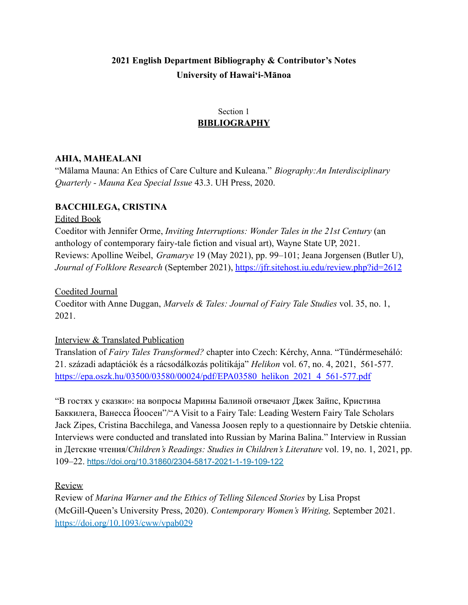# **2021 English Department Bibliography & Contributor's Notes University of Hawai'i-Mānoa**

# Section 1 **BIBLIOGRAPHY**

### **AHIA, MAHEALANI**

"Mālama Mauna: An Ethics of Care Culture and Kuleana." *Biography:An Interdisciplinary Quarterly - Mauna Kea Special Issue* 43.3. UH Press, 2020.

## **BACCHILEGA, CRISTINA**

### Edited Book

Coeditor with Jennifer Orme, *Inviting Interruptions: Wonder Tales in the 21st Century* (an anthology of contemporary fairy-tale fiction and visual art), Wayne State UP, 2021. Reviews: Apolline Weibel, *Gramarye* 19 (May 2021), pp. 99–101; Jeana Jorgensen (Butler U), *Journal of Folklore Research* (September 2021), <https://jfr.sitehost.iu.edu/review.php?id=2612>

Coedited Journal

Coeditor with Anne Duggan, *Marvels & Tales: Journal of Fairy Tale Studies* vol. 35, no. 1, 2021.

### Interview & Translated Publication

Translation of *Fairy Tales Transformed?* chapter into Czech: Kérchy, Anna. "Tündérmeseháló: 21. századi adaptációk és a rácsodálkozás politikája" *Helikon* vol. 67, no. 4, 2021, 561-577. [https://epa.oszk.hu/03500/03580/00024/pdf/EPA03580\\_helikon\\_2021\\_4\\_561-577.pdf](https://epa.oszk.hu/03500/03580/00024/pdf/EPA03580_helikon_2021_4_561-577.pdf)

"В гостях у сказки»: на вопросы Марины Балиной отвечают Джек Зайпс, Кристина Баккилега, Ванесса Йоосен"/"A Visit to a Fairy Tale: Leading Western Fairy Tale Scholars Jack Zipes, Cristina Bacchilega, and Vanessa Joosen reply to a questionnaire by Detskie chteniia. Interviews were conducted and translated into Russian by Marina Balina." Interview in Russian in Детские чтения/*Children's Readings: Studies in Children's Literature* vol. 19, no. 1, 2021, pp. 109–22. <https://doi.org/10.31860/2304-5817-2021-1-19-109-122>

Review

Review of *Marina Warner and the Ethics of Telling Silenced Stories* by Lisa Propst (McGill-Queen's University Press, 2020). *Contemporary Women's Writing,* September 2021. <https://doi.org/10.1093/cww/vpab029>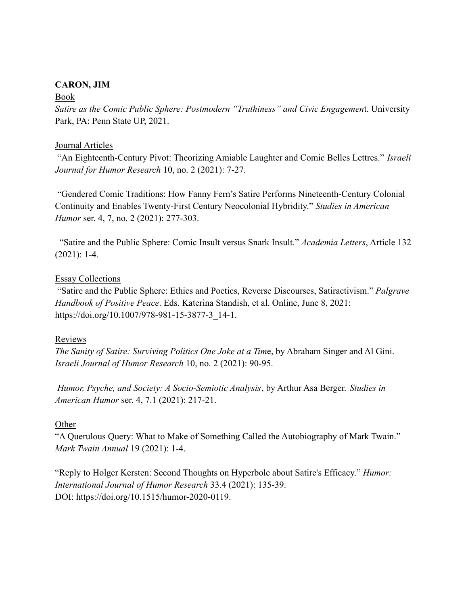### **CARON, JIM**

#### Book

*Satire as the Comic Public Sphere: Postmodern "Truthiness" and Civic Engagemen*t. University Park, PA: Penn State UP, 2021.

#### Journal Articles

"An Eighteenth-Century Pivot: Theorizing Amiable Laughter and Comic Belles Lettres." *Israeli Journal for Humor Research* 10, no. 2 (2021): 7-27.

"Gendered Comic Traditions: How Fanny Fern's Satire Performs Nineteenth-Century Colonial Continuity and Enables Twenty-First Century Neocolonial Hybridity." *Studies in American Humor* ser. 4, 7, no. 2 (2021): 277-303.

"Satire and the Public Sphere: Comic Insult versus Snark Insult." *Academia Letters*, Article 132 (2021): 1-4.

#### Essay Collections

"Satire and the Public Sphere: Ethics and Poetics, Reverse Discourses, Satiractivism." *Palgrave Handbook of Positive Peace*. Eds. Katerina Standish, et al. Online, June 8, 2021: https://doi.org/10.1007/978-981-15-3877-3\_14-1.

### Reviews

*The Sanity of Satire: Surviving Politics One Joke at a Tim*e, by Abraham Singer and Al Gini. *Israeli Journal of Humor Research* 10, no. 2 (2021): 90-95.

*Humor, Psyche, and Society: A Socio-Semiotic Analysis*, by Arthur Asa Berger. *Studies in American Humor* ser. 4, 7.1 (2021): 217-21.

### **Other**

"A Querulous Query: What to Make of Something Called the Autobiography of Mark Twain." *Mark Twain Annual* 19 (2021): 1-4.

"Reply to Holger Kersten: Second Thoughts on Hyperbole about Satire's Efficacy." *Humor: International Journal of Humor Research* 33.4 (2021): 135-39. DOI: https://doi.org/10.1515/humor-2020-0119.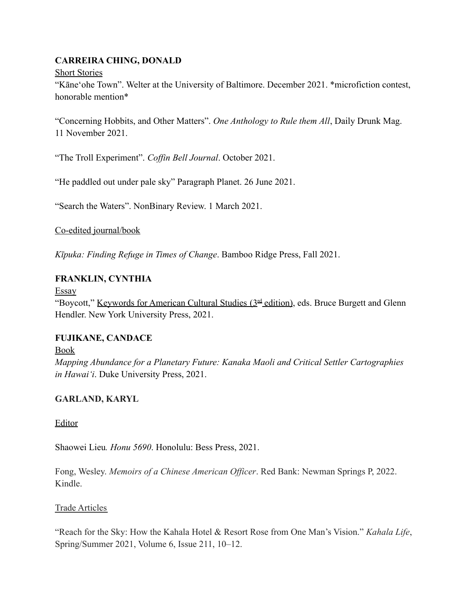# **CARREIRA CHING, DONALD**

## Short Stories

"Kāneʻohe Town". Welter at the University of Baltimore. December 2021. \*microfiction contest, honorable mention\*

"Concerning Hobbits, and Other Matters". *One Anthology to Rule them All*, Daily Drunk Mag. 11 November 2021.

"The Troll Experiment". *Coffin Bell Journal*. October 2021.

"He paddled out under pale sky" Paragraph Planet. 26 June 2021.

"Search the Waters". NonBinary Review. 1 March 2021.

Co-edited journal/book

*Kīpuka: Finding Refuge in Times of Change*. Bamboo Ridge Press, Fall 2021.

# **FRANKLIN, CYNTHIA**

Essay

"Boycott," Keywords for American Cultural Studies (3<sup>rd</sup> edition), eds. Bruce Burgett and Glenn Hendler. New York University Press, 2021.

# **FUJIKANE, CANDACE**

Book

*Mapping Abundance for a Planetary Future: Kanaka Maoli and Critical Settler Cartographies in Hawaiʻi*. Duke University Press, 2021.

# **GARLAND, KARYL**

Editor

Shaowei Lieu*. Honu 5690*. Honolulu: Bess Press, 2021.

Fong, Wesley. *Memoirs of a Chinese American Officer*. Red Bank: Newman Springs P, 2022. Kindle.

# Trade Articles

"Reach for the Sky: How the Kahala Hotel & Resort Rose from One Man's Vision." *Kahala Life*, Spring/Summer 2021, Volume 6, Issue 211, 10–12.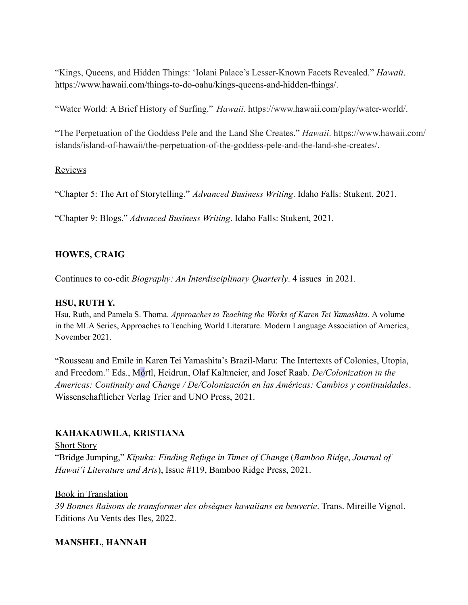"Kings, Queens, and Hidden Things: 'Iolani Palace's Lesser-Known Facets Revealed." *Hawaii*. https://www.hawaii.com/things-to-do-oahu/kings-queens-and-hidden-things/.

"Water World: A Brief History of Surfing." *Hawaii*. https://www.hawaii.com/play/water-world/.

"The Perpetuation of the Goddess Pele and the Land She Creates." *Hawaii*. https://www.hawaii.com/ islands/island-of-hawaii/the-perpetuation-of-the-goddess-pele-and-the-land-she-creates/.

### Reviews

"Chapter 5: The Art of Storytelling." *Advanced Business Writing*. Idaho Falls: Stukent, 2021.

"Chapter 9: Blogs." *Advanced Business Writing*. Idaho Falls: Stukent, 2021.

# **HOWES, CRAIG**

Continues to co-edit *Biography: An Interdisciplinary Quarterly*. 4 issues in 2021.

# **HSU, RUTH Y.**

Hsu, Ruth, and Pamela S. Thoma. *Approaches to Teaching the Works of Karen Tei Yamashita.* A volume in the MLA Series, Approaches to Teaching World Literature. Modern Language Association of America, November 2021.

"Rousseau and Emile in Karen Tei Yamashita's Brazil-Maru: The Intertexts of Colonies, Utopia, and Freedom." Eds., Mörtl, Heidrun, Olaf Kaltmeier, and Josef Raab. *De/Colonization in the Americas: Continuity and Change / De/Colonización en las Américas: Cambios y continuidades*. Wissenschaftlicher Verlag Trier and UNO Press, 2021.

# **KAHAKAUWILA, KRISTIANA**

Short Story "Bridge Jumping," *Kīpuka: Finding Refuge in Times of Change* (*Bamboo Ridge*, *Journal of Hawai'i Literature and Arts*), Issue #119, Bamboo Ridge Press, 2021.

### Book in Translation

*39 Bonnes Raisons de transformer des obsèques hawaiians en beuverie*. Trans. Mireille Vignol. Editions Au Vents des Iles, 2022.

# **MANSHEL, HANNAH**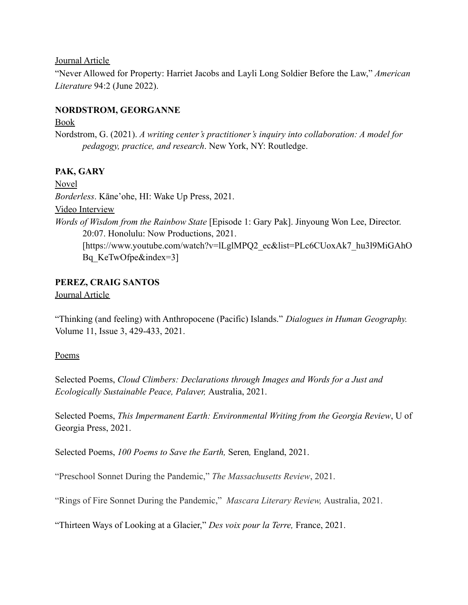#### Journal Article

"Never Allowed for Property: Harriet Jacobs and Layli Long Soldier Before the Law," *American Literature* 94:2 (June 2022).

### **NORDSTROM, GEORGANNE**

#### Book

Nordstrom, G. (2021). *A writing center's practitioner's inquiry into collaboration: A model for pedagogy, practice, and research*. New York, NY: Routledge.

# **PAK, GARY**

Novel *Borderless*. Kāne'ohe, HI: Wake Up Press, 2021. Video Interview *Words of Wisdom from the Rainbow State* [Episode 1: Gary Pak]. Jinyoung Won Lee, Director. 20:07. Honolulu: Now Productions, 2021. [https://www.youtube.com/watch?v=lLglMPQ2\_ec&list=PLc6CUoxAk7\_hu3l9MiGAhO Bq KeTwOfpe&index=3]

# **PEREZ, CRAIG SANTOS**

Journal Article

"Thinking (and feeling) with Anthropocene (Pacific) Islands." *Dialogues in Human Geography.* Volume 11, Issue 3, 429-433, 2021.

# Poems

Selected Poems, *Cloud Climbers: Declarations through Images and Words for a Just and Ecologically Sustainable Peace, Palaver,* Australia, 2021.

Selected Poems, *This Impermanent Earth: Environmental Writing from the Georgia Review*, U of Georgia Press, 2021.

Selected Poems, *100 Poems to Save the Earth,* Seren*,* England, 2021.

"Preschool Sonnet During the Pandemic," *The Massachusetts Review*, 2021.

"Rings of Fire Sonnet During the Pandemic," *Mascara Literary Review,* Australia, 2021.

"Thirteen Ways of Looking at a Glacier," *Des voix pour la Terre,* France, 2021.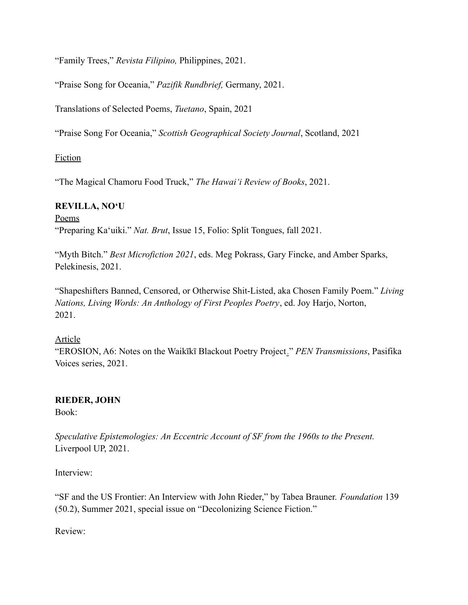"Family Trees," *Revista Filipino,* Philippines, 2021.

"Praise Song for Oceania," *Pazifik Rundbrief,* Germany, 2021.

Translations of Selected Poems, *Tuetano*, Spain, 2021

"Praise Song For Oceania," *Scottish Geographical Society Journal*, Scotland, 2021

## Fiction

"The Magical Chamoru Food Truck," *The Hawaiʻi Review of Books*, 2021.

### **REVILLA, NOʻU**

Poems "Preparing Kaʻuiki." *Nat. Brut*, Issue 15, Folio: Split Tongues, fall 2021.

"Myth Bitch." *Best Microfiction 2021*, eds. Meg Pokrass, Gary Fincke, and Amber Sparks, Pelekinesis, 2021.

"Shapeshifters Banned, Censored, or Otherwise Shit-Listed, aka Chosen Family Poem." *Living Nations, Living Words: An Anthology of First Peoples Poetry*, ed. Joy Harjo, Norton, 2021.

### Article

"EROSION, A6: Notes on the Waikīkī Blackout Poetry Project." *PEN Transmissions*, Pasifika Voices series, 2021.

# **RIEDER, JOHN**

Book:

*Speculative Epistemologies: An Eccentric Account of SF from the 1960s to the Present.* Liverpool UP, 2021.

Interview:

"SF and the US Frontier: An Interview with John Rieder," by Tabea Brauner. *Foundation* 139 (50.2), Summer 2021, special issue on "Decolonizing Science Fiction."

Review: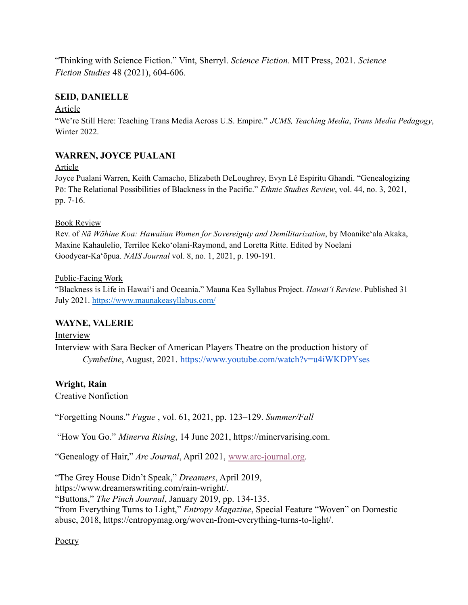"Thinking with Science Fiction." Vint, Sherryl. *Science Fiction*. MIT Press, 2021. *Science Fiction Studies* 48 (2021), 604-606.

## **SEID, DANIELLE**

### Article

"We're Still Here: Teaching Trans Media Across U.S. Empire." *JCMS, Teaching Media*, *Trans Media Pedagogy*, Winter 2022.

## **WARREN, JOYCE PUALANI**

#### Article

Joyce Pualani Warren, Keith Camacho, Elizabeth DeLoughrey, Evyn Lê Espiritu Ghandi. "Genealogizing Pō: The Relational Possibilities of Blackness in the Pacific." *Ethnic Studies Review*, vol. 44, no. 3, 2021, pp. 7-16.

### Book Review

Rev. of *Nā Wāhine Koa: Hawaiian Women for Sovereignty and Demilitarization*, by Moanike'ala Akaka, Maxine Kahaulelio, Terrilee Keko'olani-Raymond, and Loretta Ritte. Edited by Noelani Goodyear-Ka'ōpua. *NAIS Journal* vol. 8, no. 1, 2021, p. 190-191.

#### Public-Facing Work

"Blackness is Life in Hawai'i and Oceania." Mauna Kea Syllabus Project. *Hawaiʻi Review*. Published 31 July 2021. <https://www.maunakeasyllabus.com/>

### **WAYNE, VALERIE**

Interview Interview with Sara Becker of American Players Theatre on the production history of *Cymbeline*, August, 2021. <https://www.youtube.com/watch?v=u4iWKDPYses>

### **Wright, Rain**

Creative Nonfiction

"Forgetting Nouns." *Fugue* , vol. 61, 2021, pp. 123–129. *Summer/Fall*

"How You Go." *Minerva Rising*, 14 June 2021, https://minervarising.com.

"Genealogy of Hair," *Arc Journal*, April 2021, [www.arc-journal.org.](http://www.arc-journal.org/)

"The Grey House Didn't Speak," *Dreamers*, April 2019,

https://www.dreamerswriting.com/rain-wright/.

"Buttons," *The Pinch Journal*, January 2019, pp. 134-135.

"from Everything Turns to Light," *Entropy Magazine*, Special Feature "Woven" on Domestic abuse, 2018, https://entropymag.org/woven-from-everything-turns-to-light/.

### **Poetry**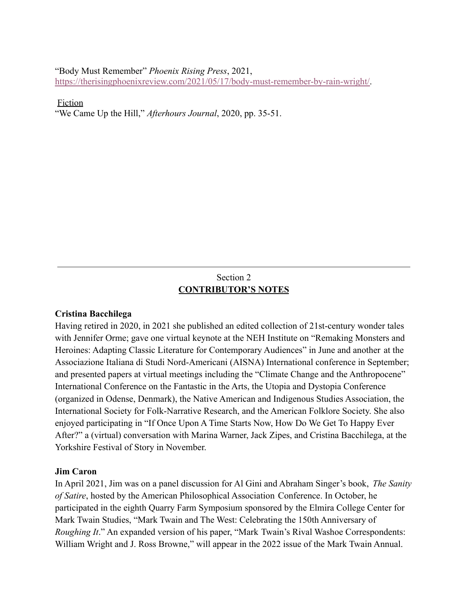"Body Must Remember" *Phoenix Rising Press*, 2021,

[https://therisingphoenixreview.com/2021/05/17/body-must-remember-by-rain-wright/.](https://therisingphoenixreview.com/2021/05/17/body-must-remember-by-rain-wright/)

#### Fiction

"We Came Up the Hill," *Afterhours Journal*, 2020, pp. 35-51.

# Section 2 **CONTRIBUTOR'S NOTES**

#### **Cristina Bacchilega**

Having retired in 2020, in 2021 she published an edited collection of 21st-century wonder tales with Jennifer Orme; gave one virtual keynote at the NEH Institute on "Remaking Monsters and Heroines: Adapting Classic Literature for Contemporary Audiences" in June and another at the Associazione Italiana di Studi Nord-Americani (AISNA) International conference in September; and presented papers at virtual meetings including the "Climate Change and the Anthropocene" International Conference on the Fantastic in the Arts, the Utopia and Dystopia Conference (organized in Odense, Denmark), the Native American and Indigenous Studies Association, the International Society for Folk-Narrative Research, and the American Folklore Society. She also enjoyed participating in "If Once Upon A Time Starts Now, How Do We Get To Happy Ever After?" a (virtual) conversation with Marina Warner, Jack Zipes, and Cristina Bacchilega, at the Yorkshire Festival of Story in November.

#### **Jim Caron**

In April 2021, Jim was on a panel discussion for Al Gini and Abraham Singer's book, *The Sanity of Satire*, hosted by the American Philosophical Association Conference. In October, he participated in the eighth Quarry Farm Symposium sponsored by the Elmira College Center for Mark Twain Studies, "Mark Twain and The West: Celebrating the 150th Anniversary of *Roughing It*." An expanded version of his paper, "Mark Twain's Rival Washoe Correspondents: William Wright and J. Ross Browne," will appear in the 2022 issue of the Mark Twain Annual.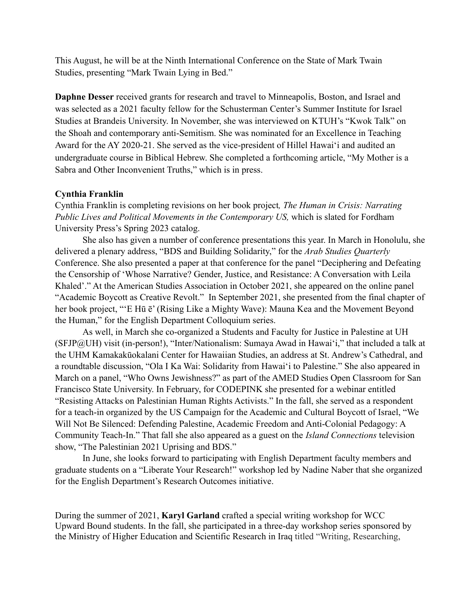This August, he will be at the Ninth International Conference on the State of Mark Twain Studies, presenting "Mark Twain Lying in Bed."

**Daphne Desser** received grants for research and travel to Minneapolis, Boston, and Israel and was selected as a 2021 faculty fellow for the Schusterman Center's Summer Institute for Israel Studies at Brandeis University. In November, she was interviewed on KTUH's "Kwok Talk" on the Shoah and contemporary anti-Semitism. She was nominated for an Excellence in Teaching Award for the AY 2020-21. She served as the vice-president of Hillel Hawai'i and audited an undergraduate course in Biblical Hebrew. She completed a forthcoming article, "My Mother is a Sabra and Other Inconvenient Truths," which is in press.

#### **Cynthia Franklin**

Cynthia Franklin is completing revisions on her book project*, The Human in Crisis: Narrating Public Lives and Political Movements in the Contemporary US,* which is slated for Fordham University Press's Spring 2023 catalog.

She also has given a number of conference presentations this year. In March in Honolulu, she delivered a plenary address, "BDS and Building Solidarity," for the *Arab Studies Quarterly* Conference. She also presented a paper at that conference for the panel "Deciphering and Defeating the Censorship of 'Whose Narrative? Gender, Justice, and Resistance: A Conversation with Leila Khaled'." At the American Studies Association in October 2021, she appeared on the online panel "Academic Boycott as Creative Revolt." In September 2021, she presented from the final chapter of her book project, "'E Hū ē' (Rising Like a Mighty Wave): Mauna Kea and the Movement Beyond the Human," for the English Department Colloquium series.

As well, in March she co-organized a Students and Faculty for Justice in Palestine at UH (SFJP@UH) visit (in-person!), "Inter/Nationalism: Sumaya Awad in Hawai'i," that included a talk at the UHM Kamakakūokalani Center for Hawaiian Studies, an address at St. Andrew's Cathedral, and a roundtable discussion, "Ola I Ka Wai: Solidarity from Hawai'i to Palestine." She also appeared in March on a panel, "Who Owns Jewishness?" as part of the AMED Studies Open Classroom for San Francisco State University. In February, for CODEPINK she presented for a webinar entitled "Resisting Attacks on Palestinian Human Rights Activists." In the fall, she served as a respondent for a teach-in organized by the US Campaign for the Academic and Cultural Boycott of Israel, "We Will Not Be Silenced: Defending Palestine, Academic Freedom and Anti-Colonial Pedagogy: A Community Teach-In." That fall she also appeared as a guest on the *Island Connections* television show, "The Palestinian 2021 Uprising and BDS."

In June, she looks forward to participating with English Department faculty members and graduate students on a "Liberate Your Research!" workshop led by Nadine Naber that she organized for the English Department's Research Outcomes initiative.

During the summer of 2021, **Karyl Garland** crafted a special writing workshop for WCC Upward Bound students. In the fall, she participated in a three-day workshop series sponsored by the Ministry of Higher Education and Scientific Research in Iraq titled "Writing, Researching,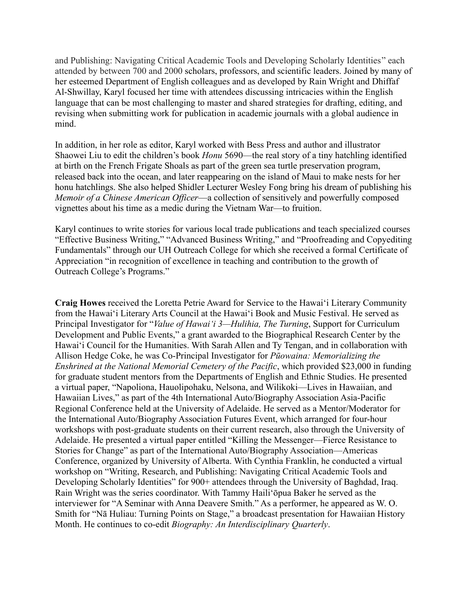and Publishing: Navigating Critical Academic Tools and Developing Scholarly Identities" each attended by between 700 and 2000 scholars, professors, and scientific leaders. Joined by many of her esteemed Department of English colleagues and as developed by Rain Wright and Dhiffaf Al-Shwillay, Karyl focused her time with attendees discussing intricacies within the English language that can be most challenging to master and shared strategies for drafting, editing, and revising when submitting work for publication in academic journals with a global audience in mind.

In addition, in her role as editor, Karyl worked with Bess Press and author and illustrator Shaowei Liu to edit the children's book *Honu* 5690—the real story of a tiny hatchling identified at birth on the French Frigate Shoals as part of the green sea turtle preservation program, released back into the ocean, and later reappearing on the island of Maui to make nests for her honu hatchlings. She also helped Shidler Lecturer Wesley Fong bring his dream of publishing his *Memoir of a Chinese American Officer*—a collection of sensitively and powerfully composed vignettes about his time as a medic during the Vietnam War—to fruition.

Karyl continues to write stories for various local trade publications and teach specialized courses "Effective Business Writing," "Advanced Business Writing," and "Proofreading and Copyediting Fundamentals" through our UH Outreach College for which she received a formal Certificate of Appreciation "in recognition of excellence in teaching and contribution to the growth of Outreach College's Programs."

**Craig Howes** received the Loretta Petrie Award for Service to the Hawaiʻi Literary Community from the Hawaiʻi Literary Arts Council at the Hawaiʻi Book and Music Festival. He served as Principal Investigator for "*Value of Hawaiʻi 3—Hulihia, The Turning*, Support for Curriculum Development and Public Events," a grant awarded to the Biographical Research Center by the Hawaiʻi Council for the Humanities. With Sarah Allen and Ty Tengan, and in collaboration with Allison Hedge Coke, he was Co-Principal Investigator for *Pūowaina: Memorializing the Enshrined at the National Memorial Cemetery of the Pacific*, which provided \$23,000 in funding for graduate student mentors from the Departments of English and Ethnic Studies. He presented a virtual paper, "Napoliona, Hauolipohaku, Nelsona, and Wilikoki—Lives in Hawaiian, and Hawaiian Lives," as part of the 4th International Auto/Biography Association Asia-Pacific Regional Conference held at the University of Adelaide. He served as a Mentor/Moderator for the International Auto/Biography Association Futures Event, which arranged for four-hour workshops with post-graduate students on their current research, also through the University of Adelaide. He presented a virtual paper entitled "Killing the Messenger—Fierce Resistance to Stories for Change" as part of the International Auto/Biography Association—Americas Conference, organized by University of Alberta. With Cynthia Franklin, he conducted a virtual workshop on "Writing, Research, and Publishing: Navigating Critical Academic Tools and Developing Scholarly Identities" for 900+ attendees through the University of Baghdad, Iraq. Rain Wright was the series coordinator. With Tammy Hailiʻōpua Baker he served as the interviewer for "A Seminar with Anna Deavere Smith." As a performer, he appeared as W. O. Smith for "Nā Huliau: Turning Points on Stage," a broadcast presentation for Hawaiian History Month. He continues to co-edit *Biography: An Interdisciplinary Quarterly*.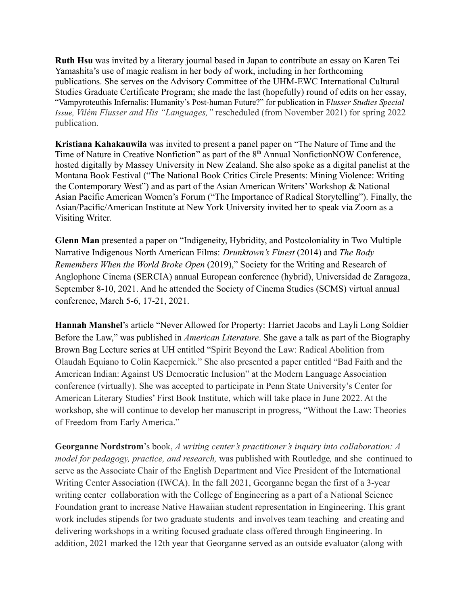**Ruth Hsu** was invited by a literary journal based in Japan to contribute an essay on Karen Tei Yamashita's use of magic realism in her body of work, including in her forthcoming publications. She serves on the Advisory Committee of the UHM-EWC International Cultural Studies Graduate Certificate Program; she made the last (hopefully) round of edits on her essay, "Vampyroteuthis Infernalis: Humanity's Post-human Future?" for publication in F*lusser Studies Special Issue, Vilém Flusser and His "Languages,"* rescheduled (from November 2021) for spring 2022 publication.

**Kristiana Kahakauwila** was invited to present a panel paper on "The Nature of Time and the Time of Nature in Creative Nonfiction" as part of the 8<sup>th</sup> Annual NonfictionNOW Conference, hosted digitally by Massey University in New Zealand. She also spoke as a digital panelist at the Montana Book Festival ("The National Book Critics Circle Presents: Mining Violence: Writing the Contemporary West") and as part of the Asian American Writers' Workshop & National Asian Pacific American Women's Forum ("The Importance of Radical Storytelling"). Finally, the Asian/Pacific/American Institute at New York University invited her to speak via Zoom as a Visiting Writer.

**Glenn Man** presented a paper on "Indigeneity, Hybridity, and Postcoloniality in Two Multiple Narrative Indigenous North American Films: *Drunktown's Finest* (2014) and *The Body Remembers When the World Broke Open* (2019)," Society for the Writing and Research of Anglophone Cinema (SERCIA) annual European conference (hybrid), Universidad de Zaragoza, September 8-10, 2021. And he attended the Society of Cinema Studies (SCMS) virtual annual conference, March 5-6, 17-21, 2021.

**Hannah Manshel**'s article "Never Allowed for Property: Harriet Jacobs and Layli Long Soldier Before the Law," was published in *American Literature*. She gave a talk as part of the Biography Brown Bag Lecture series at UH entitled "Spirit Beyond the Law: Radical Abolition from Olaudah Equiano to Colin Kaepernick." She also presented a paper entitled "Bad Faith and the American Indian: Against US Democratic Inclusion" at the Modern Language Association conference (virtually). She was accepted to participate in Penn State University's Center for American Literary Studies' First Book Institute, which will take place in June 2022. At the workshop, she will continue to develop her manuscript in progress, "Without the Law: Theories of Freedom from Early America."

**Georganne Nordstrom**'s book, *A writing center's practitioner's inquiry into collaboration: A model for pedagogy, practice, and research,* was published with Routledge*,* and she continued to serve as the Associate Chair of the English Department and Vice President of the International Writing Center Association (IWCA). In the fall 2021, Georganne began the first of a 3-year writing center collaboration with the College of Engineering as a part of a National Science Foundation grant to increase Native Hawaiian student representation in Engineering. This grant work includes stipends for two graduate students and involves team teaching and creating and delivering workshops in a writing focused graduate class offered through Engineering. In addition, 2021 marked the 12th year that Georganne served as an outside evaluator (along with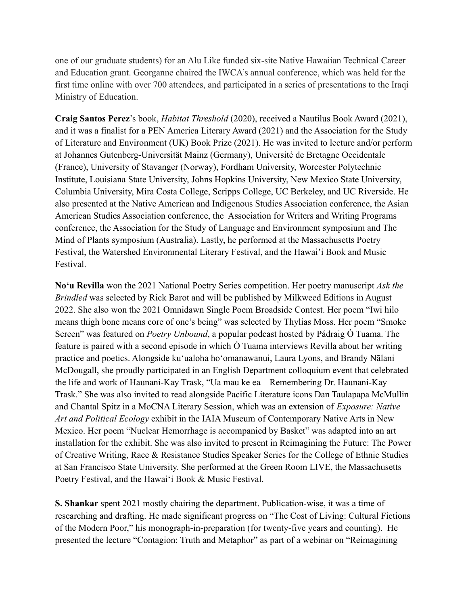one of our graduate students) for an Alu Like funded six-site Native Hawaiian Technical Career and Education grant. Georganne chaired the IWCA's annual conference, which was held for the first time online with over 700 attendees, and participated in a series of presentations to the Iraqi Ministry of Education.

**Craig Santos Perez**'s book, *Habitat Threshold* (2020), received a Nautilus Book Award (2021), and it was a finalist for a PEN America Literary Award (2021) and the Association for the Study of Literature and Environment (UK) Book Prize (2021). He was invited to lecture and/or perform at Johannes Gutenberg-Universität Mainz (Germany), Université de Bretagne Occidentale (France), University of Stavanger (Norway), Fordham University, Worcester Polytechnic Institute, Louisiana State University, Johns Hopkins University, New Mexico State University, Columbia University, Mira Costa College, Scripps College, UC Berkeley, and UC Riverside. He also presented at the Native American and Indigenous Studies Association conference, the Asian American Studies Association conference, the Association for Writers and Writing Programs conference, the Association for the Study of Language and Environment symposium and The Mind of Plants symposium (Australia). Lastly, he performed at the Massachusetts Poetry Festival, the Watershed Environmental Literary Festival, and the Hawai'i Book and Music Festival.

**Noʻu Revilla** won the 2021 National Poetry Series competition. Her poetry manuscript *Ask the Brindled* was selected by Rick Barot and will be published by Milkweed Editions in August 2022. She also won the 2021 Omnidawn Single Poem Broadside Contest. Her poem "Iwi hilo means thigh bone means core of one's being" was selected by Thylias Moss. Her poem "Smoke Screen" was featured on *Poetry Unbound*, a popular podcast hosted by Pádraig Ó Tuama. The feature is paired with a second episode in which Ó Tuama interviews Revilla about her writing practice and poetics. Alongside kuʻualoha hoʻomanawanui, Laura Lyons, and Brandy Nālani McDougall, she proudly participated in an English Department colloquium event that celebrated the life and work of Haunani-Kay Trask, "Ua mau ke ea – Remembering Dr. Haunani-Kay Trask." She was also invited to read alongside Pacific Literature icons Dan Taulapapa McMullin and Chantal Spitz in a MoCNA Literary Session, which was an extension of *Exposure: Native Art and Political Ecology* exhibit in the IAIA Museum of Contemporary Native Arts in New Mexico. Her poem "Nuclear Hemorrhage is accompanied by Basket" was adapted into an art installation for the exhibit. She was also invited to present in Reimagining the Future: The Power of Creative Writing, Race & Resistance Studies Speaker Series for the College of Ethnic Studies at San Francisco State University. She performed at the Green Room LIVE, the Massachusetts Poetry Festival, and the Hawaiʻi Book & Music Festival.

**S. Shankar** spent 2021 mostly chairing the department. Publication-wise, it was a time of researching and drafting. He made significant progress on "The Cost of Living: Cultural Fictions of the Modern Poor," his monograph-in-preparation (for twenty-five years and counting). He presented the lecture "Contagion: Truth and Metaphor" as part of a webinar on "Reimagining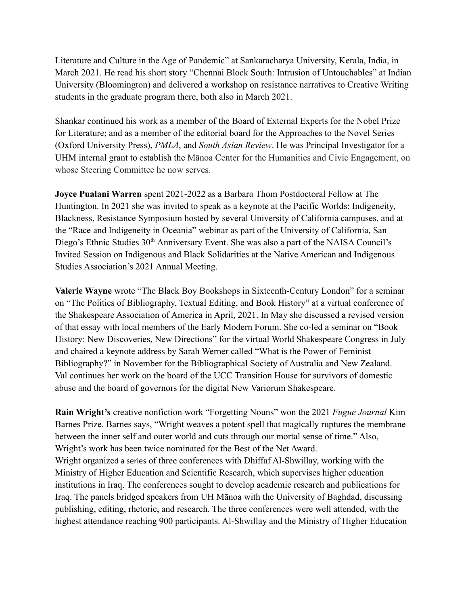Literature and Culture in the Age of Pandemic" at Sankaracharya University, Kerala, India, in March 2021. He read his short story "Chennai Block South: Intrusion of Untouchables" at Indian University (Bloomington) and delivered a workshop on resistance narratives to Creative Writing students in the graduate program there, both also in March 2021.

Shankar continued his work as a member of the Board of External Experts for the Nobel Prize for Literature; and as a member of the editorial board for the Approaches to the Novel Series (Oxford University Press), *PMLA*, and *South Asian Review*. He was Principal Investigator for a UHM internal grant to establish the Mānoa Center for the Humanities and Civic Engagement, on whose Steering Committee he now serves.

**Joyce Pualani Warren** spent 2021-2022 as a Barbara Thom Postdoctoral Fellow at The Huntington. In 2021 she was invited to speak as a keynote at the Pacific Worlds: Indigeneity, Blackness, Resistance Symposium hosted by several University of California campuses, and at the "Race and Indigeneity in Oceania" webinar as part of the University of California, San Diego's Ethnic Studies 30<sup>th</sup> Anniversary Event. She was also a part of the NAISA Council's Invited Session on Indigenous and Black Solidarities at the Native American and Indigenous Studies Association's 2021 Annual Meeting.

**Valerie Wayne** wrote "The Black Boy Bookshops in Sixteenth-Century London" for a seminar on "The Politics of Bibliography, Textual Editing, and Book History" at a virtual conference of the Shakespeare Association of America in April, 2021. In May she discussed a revised version of that essay with local members of the Early Modern Forum. She co-led a seminar on "Book History: New Discoveries, New Directions" for the virtual World Shakespeare Congress in July and chaired a keynote address by Sarah Werner called "What is the Power of Feminist Bibliography?" in November for the Bibliographical Society of Australia and New Zealand. Val continues her work on the board of the UCC Transition House for survivors of domestic abuse and the board of governors for the digital New Variorum Shakespeare.

**Rain Wright's** creative nonfiction work "Forgetting Nouns" won the 2021 *Fugue Journal* Kim Barnes Prize. Barnes says, "Wright weaves a potent spell that magically ruptures the membrane between the inner self and outer world and cuts through our mortal sense of time." Also, Wright's work has been twice nominated for the Best of the Net Award. Wright organized a series of three conferences with Dhiffaf Al-Shwillay, working with the Ministry of Higher Education and Scientific Research, which supervises higher education institutions in Iraq. The conferences sought to develop academic research and publications for Iraq. The panels bridged speakers from UH Mānoa with the University of Baghdad, discussing publishing, editing, rhetoric, and research. The three conferences were well attended, with the highest attendance reaching 900 participants. Al-Shwillay and the Ministry of Higher Education